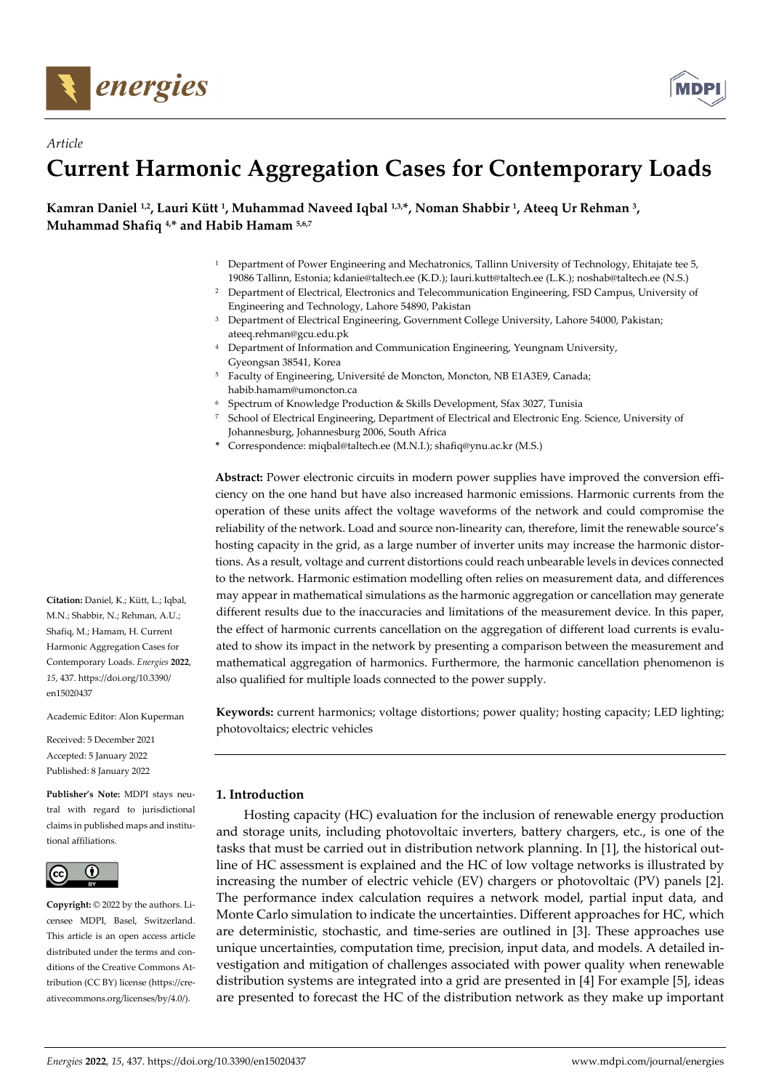

*Article* 



# **Current Harmonic Aggregation Cases for Contemporary Loads**

Kamran Daniel <sup>1,2</sup>, Lauri Kütt<sup>1</sup>, Muhammad Naveed Iqbal <sup>1,3,\*</sup>, Noman Shabbir<sup>1</sup>, Ateeq Ur Rehman <sup>3</sup>, **Muhammad Shafiq 4,\* and Habib Hamam 5,6,7**

- <sup>1</sup> Department of Power Engineering and Mechatronics, Tallinn University of Technology, Ehitajate tee 5, 19086 Tallinn, Estonia; kdanie@taltech.ee (K.D.); lauri.kutt@taltech.ee (L.K.); noshab@taltech.ee (N.S.)
- <sup>2</sup> Department of Electrical, Electronics and Telecommunication Engineering, FSD Campus, University of Engineering and Technology, Lahore 54890, Pakistan
- 3 Department of Electrical Engineering, Government College University, Lahore 54000, Pakistan; ateeq.rehman@gcu.edu.pk
- 4 Department of Information and Communication Engineering, Yeungnam University, Gyeongsan 38541, Korea
- 5 Faculty of Engineering, Université de Moncton, Moncton, NB E1A3E9, Canada; habib.hamam@umoncton.ca
- 6 Spectrum of Knowledge Production & Skills Development, Sfax 3027, Tunisia
- 7 School of Electrical Engineering, Department of Electrical and Electronic Eng. Science, University of Johannesburg, Johannesburg 2006, South Africa
- **\*** Correspondence: miqbal@taltech.ee (M.N.I.); shafiq@ynu.ac.kr (M.S.)

**Abstract:** Power electronic circuits in modern power supplies have improved the conversion efficiency on the one hand but have also increased harmonic emissions. Harmonic currents from the operation of these units affect the voltage waveforms of the network and could compromise the reliability of the network. Load and source non-linearity can, therefore, limit the renewable source's hosting capacity in the grid, as a large number of inverter units may increase the harmonic distortions. As a result, voltage and current distortions could reach unbearable levels in devices connected to the network. Harmonic estimation modelling often relies on measurement data, and differences may appear in mathematical simulations as the harmonic aggregation or cancellation may generate different results due to the inaccuracies and limitations of the measurement device. In this paper, the effect of harmonic currents cancellation on the aggregation of different load currents is evaluated to show its impact in the network by presenting a comparison between the measurement and mathematical aggregation of harmonics. Furthermore, the harmonic cancellation phenomenon is also qualified for multiple loads connected to the power supply.

**Keywords:** current harmonics; voltage distortions; power quality; hosting capacity; LED lighting; photovoltaics; electric vehicles

## **1. Introduction**

Hosting capacity (HC) evaluation for the inclusion of renewable energy production and storage units, including photovoltaic inverters, battery chargers, etc., is one of the tasks that must be carried out in distribution network planning. In [1], the historical outline of HC assessment is explained and the HC of low voltage networks is illustrated by increasing the number of electric vehicle (EV) chargers or photovoltaic (PV) panels [2]. The performance index calculation requires a network model, partial input data, and Monte Carlo simulation to indicate the uncertainties. Different approaches for HC, which are deterministic, stochastic, and time-series are outlined in [3]. These approaches use unique uncertainties, computation time, precision, input data, and models. A detailed investigation and mitigation of challenges associated with power quality when renewable distribution systems are integrated into a grid are presented in [4] For example [5], ideas are presented to forecast the HC of the distribution network as they make up important

**Citation:** Daniel, K.; Kütt, L.; Iqbal, M.N.; Shabbir, N.; Rehman, A.U.; Shafiq, M.; Hamam, H. Current Harmonic Aggregation Cases for Contemporary Loads. *Energies* **2022**, *15*, 437. https://doi.org/10.3390/ en15020437

Academic Editor: Alon Kuperman

Received: 5 December 2021 Accepted: 5 January 2022 Published: 8 January 2022

**Publisher's Note:** MDPI stays neutral with regard to jurisdictional claims in published maps and institutional affiliations.



**Copyright:** © 2022 by the authors. Licensee MDPI, Basel, Switzerland. This article is an open access article distributed under the terms and conditions of the Creative Commons Attribution (CC BY) license (https://creativecommons.org/licenses/by/4.0/).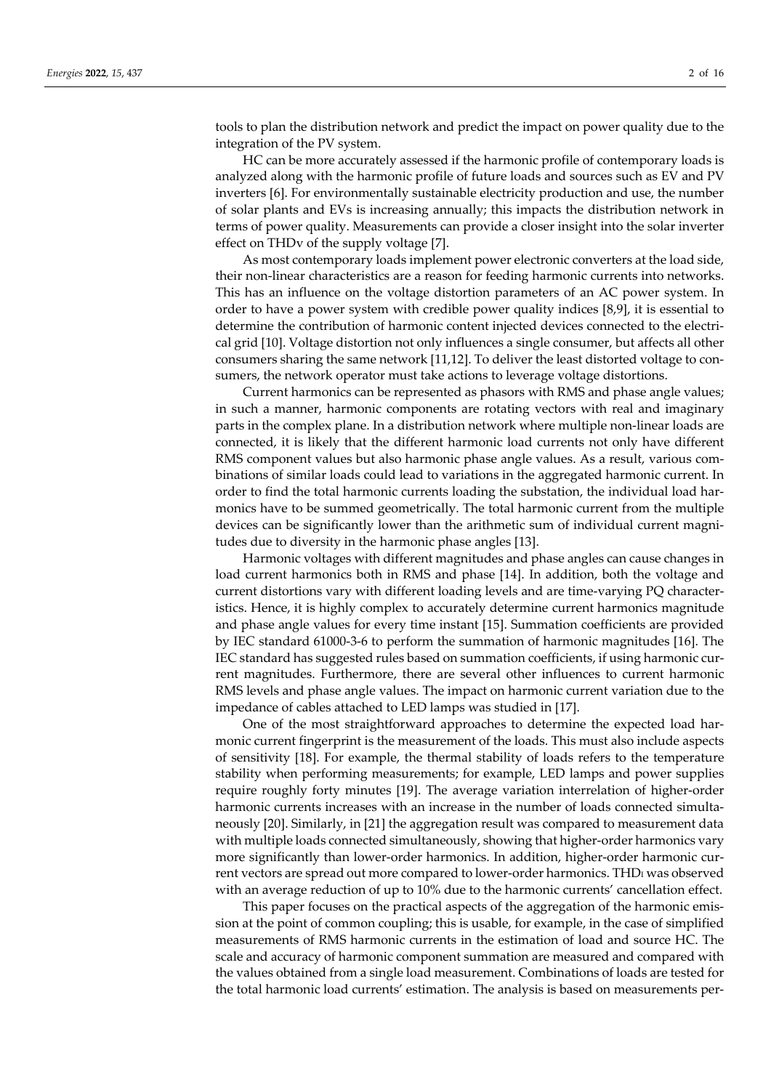tools to plan the distribution network and predict the impact on power quality due to the integration of the PV system.

HC can be more accurately assessed if the harmonic profile of contemporary loads is analyzed along with the harmonic profile of future loads and sources such as EV and PV inverters [6]. For environmentally sustainable electricity production and use, the number of solar plants and EVs is increasing annually; this impacts the distribution network in terms of power quality. Measurements can provide a closer insight into the solar inverter effect on THDv of the supply voltage [7].

As most contemporary loads implement power electronic converters at the load side, their non-linear characteristics are a reason for feeding harmonic currents into networks. This has an influence on the voltage distortion parameters of an AC power system. In order to have a power system with credible power quality indices [8,9], it is essential to determine the contribution of harmonic content injected devices connected to the electrical grid [10]. Voltage distortion not only influences a single consumer, but affects all other consumers sharing the same network [11,12]. To deliver the least distorted voltage to consumers, the network operator must take actions to leverage voltage distortions.

Current harmonics can be represented as phasors with RMS and phase angle values; in such a manner, harmonic components are rotating vectors with real and imaginary parts in the complex plane. In a distribution network where multiple non-linear loads are connected, it is likely that the different harmonic load currents not only have different RMS component values but also harmonic phase angle values. As a result, various combinations of similar loads could lead to variations in the aggregated harmonic current. In order to find the total harmonic currents loading the substation, the individual load harmonics have to be summed geometrically. The total harmonic current from the multiple devices can be significantly lower than the arithmetic sum of individual current magnitudes due to diversity in the harmonic phase angles [13].

Harmonic voltages with different magnitudes and phase angles can cause changes in load current harmonics both in RMS and phase [14]. In addition, both the voltage and current distortions vary with different loading levels and are time-varying PQ characteristics. Hence, it is highly complex to accurately determine current harmonics magnitude and phase angle values for every time instant [15]. Summation coefficients are provided by IEC standard 61000-3-6 to perform the summation of harmonic magnitudes [16]. The IEC standard has suggested rules based on summation coefficients, if using harmonic current magnitudes. Furthermore, there are several other influences to current harmonic RMS levels and phase angle values. The impact on harmonic current variation due to the impedance of cables attached to LED lamps was studied in [17].

One of the most straightforward approaches to determine the expected load harmonic current fingerprint is the measurement of the loads. This must also include aspects of sensitivity [18]. For example, the thermal stability of loads refers to the temperature stability when performing measurements; for example, LED lamps and power supplies require roughly forty minutes [19]. The average variation interrelation of higher-order harmonic currents increases with an increase in the number of loads connected simultaneously [20]. Similarly, in [21] the aggregation result was compared to measurement data with multiple loads connected simultaneously, showing that higher-order harmonics vary more significantly than lower-order harmonics. In addition, higher-order harmonic current vectors are spread out more compared to lower-order harmonics. THD<sub>I</sub> was observed with an average reduction of up to 10% due to the harmonic currents' cancellation effect.

This paper focuses on the practical aspects of the aggregation of the harmonic emission at the point of common coupling; this is usable, for example, in the case of simplified measurements of RMS harmonic currents in the estimation of load and source HC. The scale and accuracy of harmonic component summation are measured and compared with the values obtained from a single load measurement. Combinations of loads are tested for the total harmonic load currents' estimation. The analysis is based on measurements per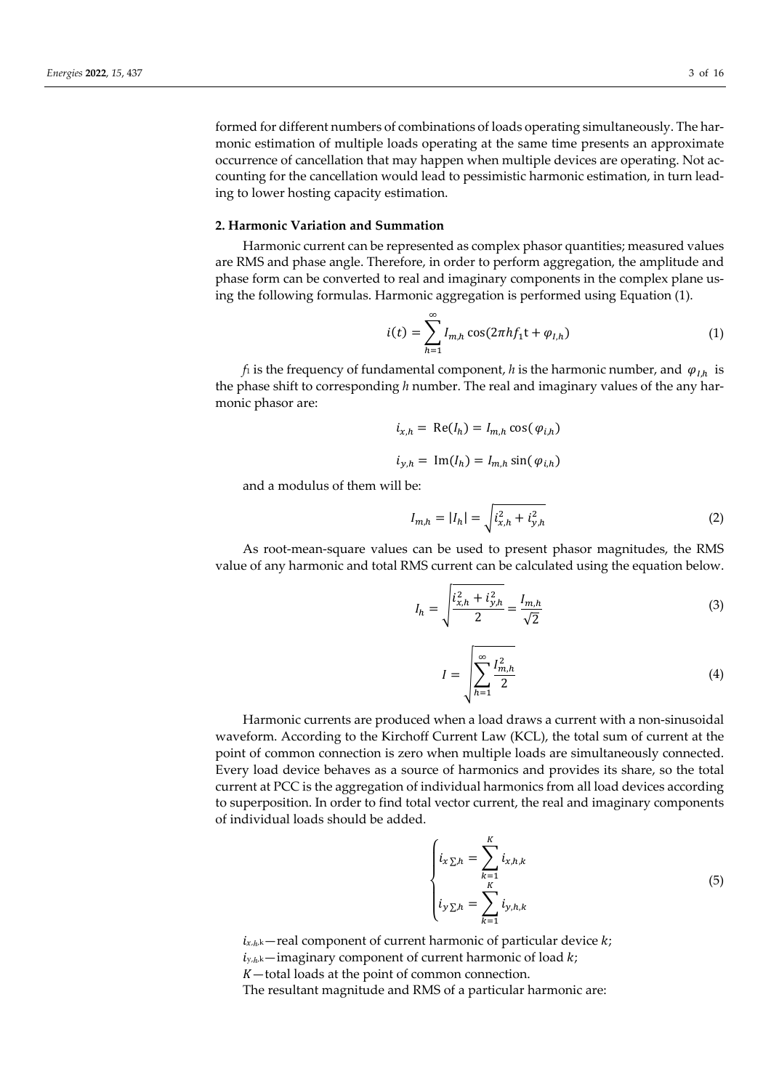formed for different numbers of combinations of loads operating simultaneously. The harmonic estimation of multiple loads operating at the same time presents an approximate occurrence of cancellation that may happen when multiple devices are operating. Not accounting for the cancellation would lead to pessimistic harmonic estimation, in turn leading to lower hosting capacity estimation.

#### **2. Harmonic Variation and Summation**

Harmonic current can be represented as complex phasor quantities; measured values are RMS and phase angle. Therefore, in order to perform aggregation, the amplitude and phase form can be converted to real and imaginary components in the complex plane using the following formulas. Harmonic aggregation is performed using Equation (1).

$$
i(t) = \sum_{h=1}^{\infty} I_{m,h} \cos(2\pi h f_1 t + \varphi_{I,h})
$$
 (1)

*f*<sub>1</sub> is the frequency of fundamental component, *h* is the harmonic number, and  $\varphi_{I,h}$  is the phase shift to corresponding *h* number. The real and imaginary values of the any harmonic phasor are:

$$
i_{x,h} = \text{Re}(I_h) = I_{m,h} \cos(\varphi_{i,h})
$$
  

$$
i_{y,h} = \text{Im}(I_h) = I_{m,h} \sin(\varphi_{i,h})
$$

and a modulus of them will be:

$$
I_{m,h} = |I_h| = \sqrt{i_{x,h}^2 + i_{y,h}^2}
$$
 (2)

As root-mean-square values can be used to present phasor magnitudes, the RMS value of any harmonic and total RMS current can be calculated using the equation below.

$$
I_h = \sqrt{\frac{i_{x,h}^2 + i_{y,h}^2}{2}} = \frac{I_{m,h}}{\sqrt{2}}
$$
 (3)

$$
I = \sqrt{\sum_{h=1}^{\infty} \frac{I_{m,h}^2}{2}}
$$
 (4)

Harmonic currents are produced when a load draws a current with a non-sinusoidal waveform. According to the Kirchoff Current Law (KCL), the total sum of current at the point of common connection is zero when multiple loads are simultaneously connected. Every load device behaves as a source of harmonics and provides its share, so the total current at PCC is the aggregation of individual harmonics from all load devices according to superposition. In order to find total vector current, the real and imaginary components of individual loads should be added.

$$
\begin{cases}\n i_{x \sum h} = \sum_{k=1}^{K} i_{x,h,k} \\
 i_{y \sum h} = \sum_{k=1}^{K} i_{y,h,k}\n\end{cases}
$$
\n(5)

 $i_{x,h,k}$  – real component of current harmonic of particular device  $k$ ;

 $i_{y,h,k}$ —imaginary component of current harmonic of load  $k$ ;

—total loads at the point of common connection.

The resultant magnitude and RMS of a particular harmonic are: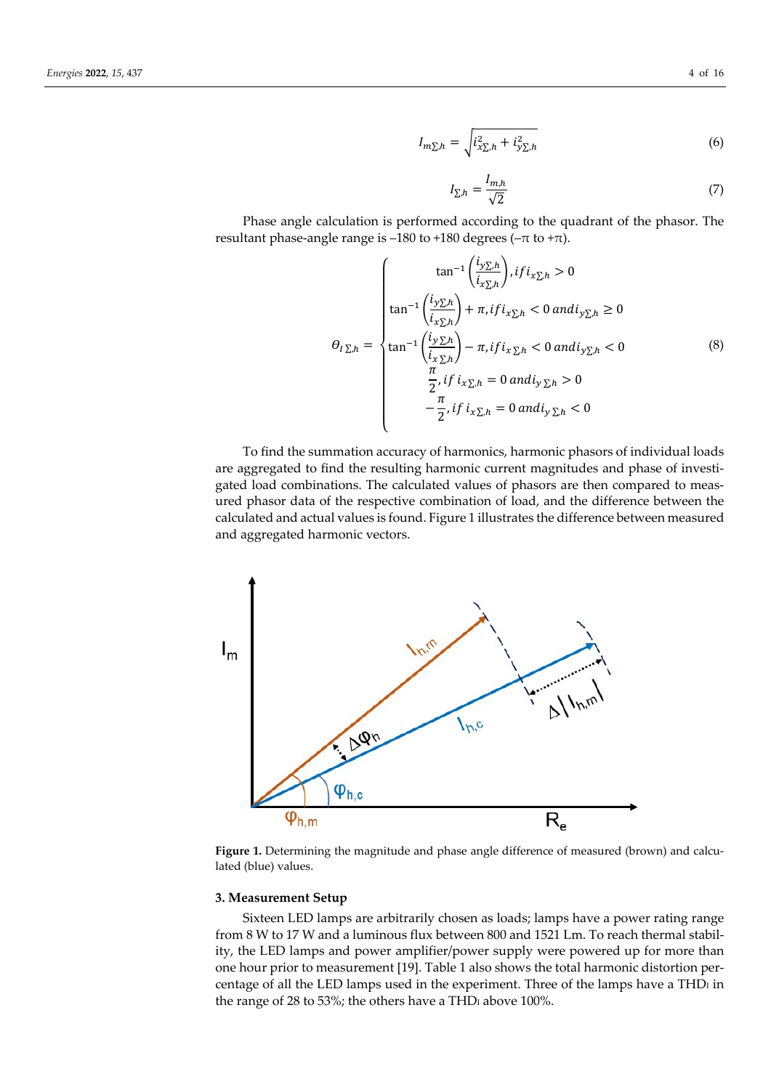$$
I_{m\Sigma,h} = \sqrt{i_{x\Sigma,h}^2 + i_{y\Sigma,h}^2}
$$
 (6)

$$
I_{\sum,h} = \frac{I_{m,h}}{\sqrt{2}}\tag{7}
$$

Phase angle calculation is performed according to the quadrant of the phasor. The resultant phase-angle range is –180 to +180 degrees ( $-\pi$  to + $\pi$ ).

$$
\theta_{I\Sigma,h} = \begin{cases}\n\tan^{-1}\left(\frac{i_{y\Sigma,h}}{i_{x\Sigma,h}}\right), if i_{x\Sigma,h} > 0 \\
\tan^{-1}\left(\frac{i_{y\Sigma,h}}{i_{x\Sigma,h}}\right) + \pi, if i_{x\Sigma,h} < 0 \text{ and } i_{y\Sigma,h} \ge 0 \\
\tan^{-1}\left(\frac{i_{y\Sigma,h}}{i_{x\Sigma,h}}\right) - \pi, if i_{x\Sigma,h} < 0 \text{ and } i_{y\Sigma,h} < 0 \\
\tfrac{\pi}{2}, if i_{x\Sigma,h} = 0 \text{ and } i_{y\Sigma,h} > 0 \\
-\frac{\pi}{2}, if i_{x\Sigma,h} = 0 \text{ and } i_{y\Sigma,h} < 0\n\end{cases}
$$
\n(8)

To find the summation accuracy of harmonics, harmonic phasors of individual loads are aggregated to find the resulting harmonic current magnitudes and phase of investigated load combinations. The calculated values of phasors are then compared to measured phasor data of the respective combination of load, and the difference between the calculated and actual values is found. Figure 1 illustrates the difference between measured and aggregated harmonic vectors.



Figure 1. Determining the magnitude and phase angle difference of measured (brown) and calculated (blue) values.

#### **3. Measurement Setup**

Sixteen LED lamps are arbitrarily chosen as loads; lamps have a power rating range from 8 W to 17 W and a luminous flux between 800 and 1521 Lm. To reach thermal stability, the LED lamps and power amplifier/power supply were powered up for more than one hour prior to measurement [19]. Table 1 also shows the total harmonic distortion percentage of all the LED lamps used in the experiment. Three of the lamps have a  $THD<sub>1</sub>$  in the range of 28 to 53%; the others have a THD $I$  above 100%.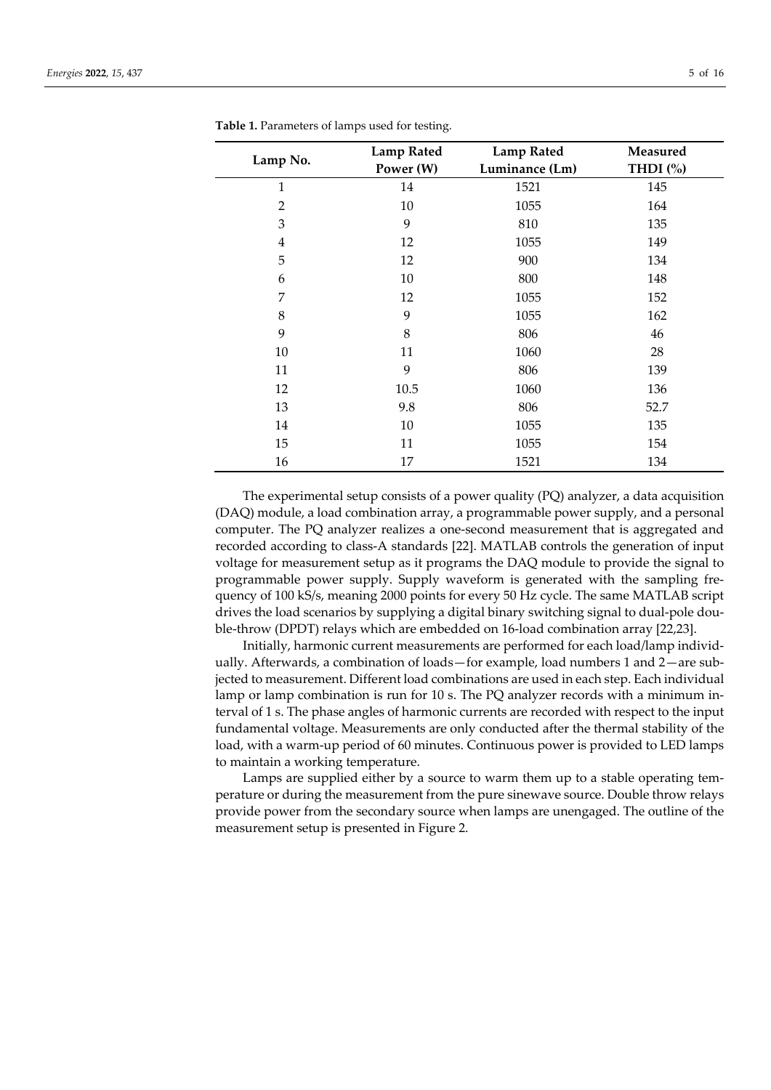|                | <b>Lamp Rated</b> | <b>Lamp Rated</b> | Measured   |  |  |
|----------------|-------------------|-------------------|------------|--|--|
| Lamp No.       | Power (W)         | Luminance (Lm)    | THDI $(%)$ |  |  |
| $\mathbf{1}$   | 14                | 1521              | 145        |  |  |
| $\overline{2}$ | 10                | 1055              | 164        |  |  |
| 3              | 9                 | 810               | 135        |  |  |
| $\overline{4}$ | 12                | 1055              | 149        |  |  |
| 5              | 12                | 900               | 134        |  |  |
| 6              | 10                | 800               | 148        |  |  |
| 7              | 12                | 1055              | 152        |  |  |
| 8              | 9                 | 1055              | 162        |  |  |
| 9              | 8                 | 806               | 46         |  |  |
| 10             | 11                | 1060              | 28         |  |  |
| 11             | 9                 | 806               | 139        |  |  |
| 12             | 10.5              | 1060              | 136        |  |  |
| 13             | 9.8               | 806               | 52.7       |  |  |
| 14             | 10                | 1055              | 135        |  |  |
| 15             | 11                | 1055              | 154        |  |  |
| 16             | 17                | 1521              | 134        |  |  |

**Table 1.** Parameters of lamps used for testing.

The experimental setup consists of a power quality (PQ) analyzer, a data acquisition (DAQ) module, a load combination array, a programmable power supply, and a personal computer. The PQ analyzer realizes a one-second measurement that is aggregated and recorded according to class-A standards [22]. MATLAB controls the generation of input voltage for measurement setup as it programs the DAQ module to provide the signal to programmable power supply. Supply waveform is generated with the sampling frequency of 100 kS/s, meaning 2000 points for every 50 Hz cycle. The same MATLAB script drives the load scenarios by supplying a digital binary switching signal to dual-pole double-throw (DPDT) relays which are embedded on 16-load combination array [22,23].

Initially, harmonic current measurements are performed for each load/lamp individually. Afterwards, a combination of loads—for example, load numbers 1 and 2—are subjected to measurement. Different load combinations are used in each step. Each individual lamp or lamp combination is run for 10 s. The PQ analyzer records with a minimum interval of 1 s. The phase angles of harmonic currents are recorded with respect to the input fundamental voltage. Measurements are only conducted after the thermal stability of the load, with a warm-up period of 60 minutes. Continuous power is provided to LED lamps to maintain a working temperature.

Lamps are supplied either by a source to warm them up to a stable operating temperature or during the measurement from the pure sinewave source. Double throw relays provide power from the secondary source when lamps are unengaged. The outline of the measurement setup is presented in Figure 2.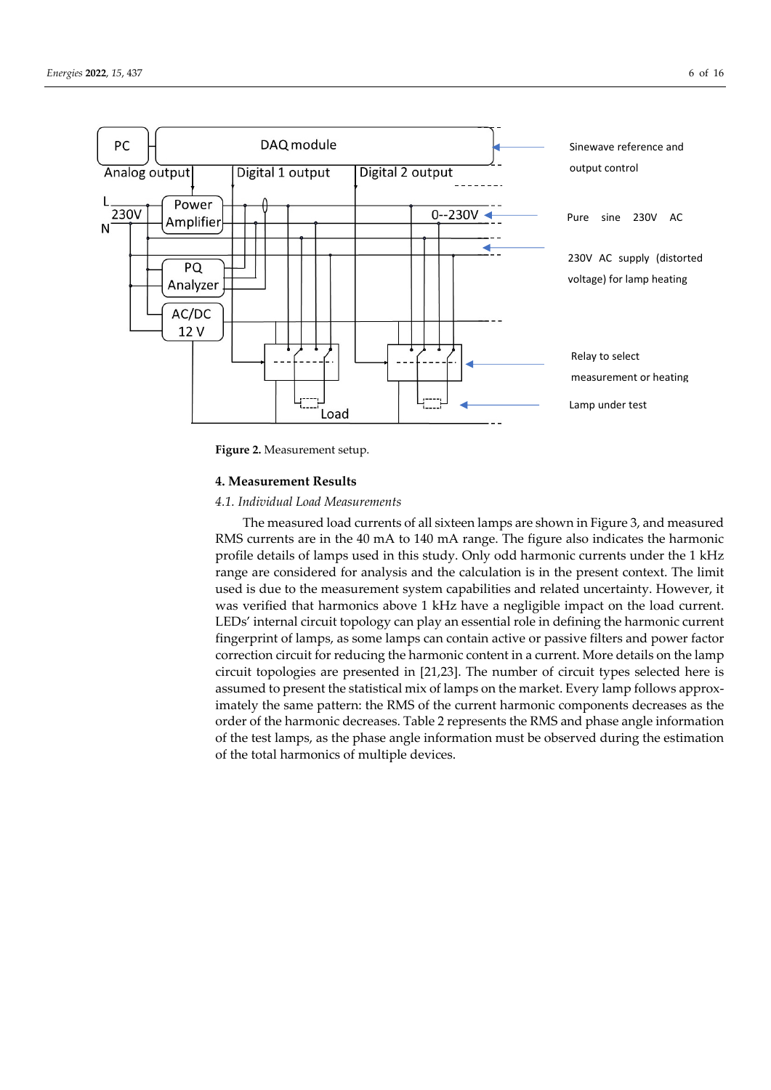

**Figure 2.** Measurement setup.

#### **4. Measurement Results**

### *4.1. Individual Load Measurements*

The measured load currents of all sixteen lamps are shown in Figure 3, and measured RMS currents are in the 40 mA to 140 mA range. The figure also indicates the harmonic profile details of lamps used in this study. Only odd harmonic currents under the 1 kHz range are considered for analysis and the calculation is in the present context. The limit used is due to the measurement system capabilities and related uncertainty. However, it was verified that harmonics above 1 kHz have a negligible impact on the load current. LEDs' internal circuit topology can play an essential role in defining the harmonic current fingerprint of lamps, as some lamps can contain active or passive filters and power factor correction circuit for reducing the harmonic content in a current. More details on the lamp circuit topologies are presented in [21,23]. The number of circuit types selected here is assumed to present the statistical mix of lamps on the market. Every lamp follows approximately the same pattern: the RMS of the current harmonic components decreases as the order of the harmonic decreases. Table 2 represents the RMS and phase angle information of the test lamps, as the phase angle information must be observed during the estimation of the total harmonics of multiple devices.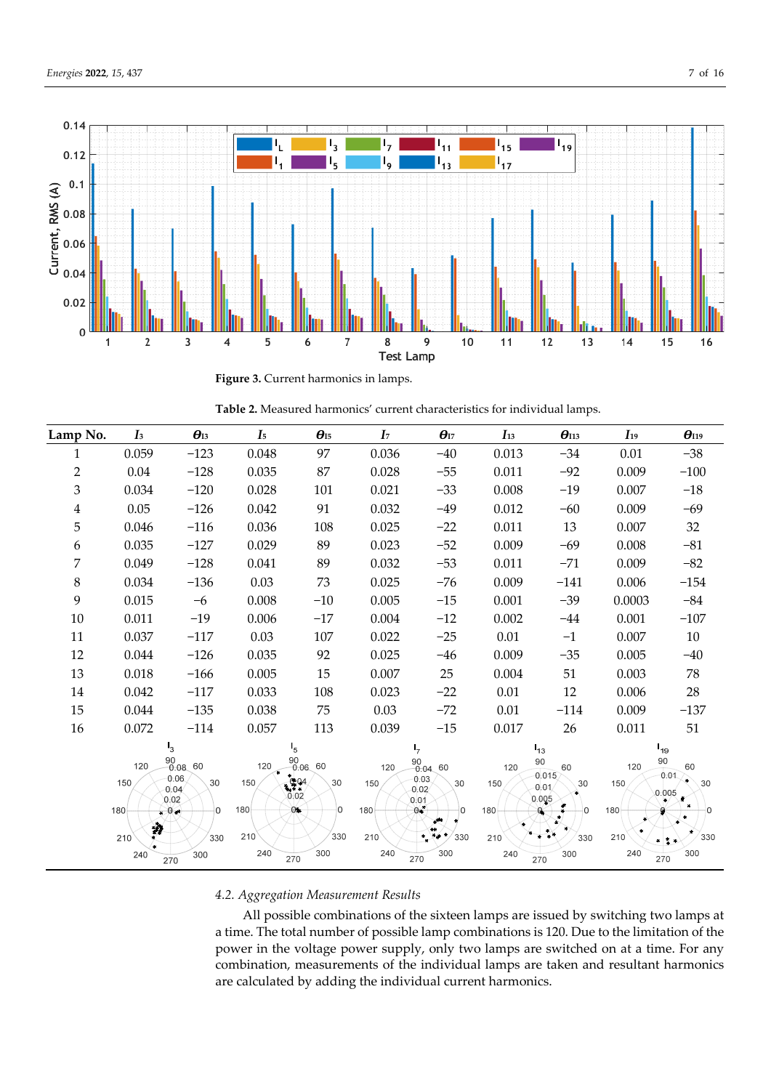

**Figure 3.** Current harmonics in lamps.

| Lamp No.                | $\mathbf{I}$ | $\boldsymbol{\theta}_{I3}$             | $I_5$      | $\theta_{\text{I}5}$                   | I <sub>7</sub> | $\boldsymbol{\theta}_{\text{I7}}$       | $I_{13}$   | $\theta_{113}$                  | $I_{19}$   | $\theta_{119}$          |
|-------------------------|--------------|----------------------------------------|------------|----------------------------------------|----------------|-----------------------------------------|------------|---------------------------------|------------|-------------------------|
| 1                       | 0.059        | $-123$                                 | 0.048      | 97                                     | 0.036          | $-40$                                   | 0.013      | $-34$                           | 0.01       | $-38$                   |
| $\overline{2}$          | $0.04\,$     | $-128$                                 | 0.035      | 87                                     | 0.028          | $-55$                                   | 0.011      | $-92$                           | 0.009      | $-100$                  |
| $\mathfrak{Z}$          | 0.034        | $-120$                                 | 0.028      | 101                                    | 0.021          | $-33$                                   | 0.008      | $-19$                           | 0.007      | $-18$                   |
| $\overline{\mathbf{4}}$ | 0.05         | $-126$                                 | 0.042      | 91                                     | 0.032          | $-49$                                   | 0.012      | $-60$                           | 0.009      | $-69$                   |
| 5                       | 0.046        | $-116$                                 | 0.036      | 108                                    | 0.025          | $-22$                                   | 0.011      | 13                              | 0.007      | $32\,$                  |
| 6                       | 0.035        | $-127$                                 | 0.029      | 89                                     | 0.023          | $-52$                                   | 0.009      | $-69$                           | 0.008      | $-81$                   |
| 7                       | 0.049        | $-128$                                 | 0.041      | 89                                     | 0.032          | $-53$                                   | 0.011      | $-71$                           | 0.009      | $-82$                   |
| $\,8\,$                 | 0.034        | $-136$                                 | 0.03       | 73                                     | 0.025          | $-76$                                   | 0.009      | $-141$                          | 0.006      | $-154$                  |
| 9                       | 0.015        | $-6$                                   | 0.008      | $-10$                                  | 0.005          | $-15$                                   | 0.001      | $-39$                           | 0.0003     | $-84$                   |
| 10                      | 0.011        | $-19$                                  | 0.006      | $-17$                                  | 0.004          | $-12$                                   | 0.002      | $-44$                           | 0.001      | $-107$                  |
| 11                      | 0.037        | $-117$                                 | 0.03       | 107                                    | 0.022          | $-25$                                   | 0.01       | $-1$                            | 0.007      | $10\,$                  |
| 12                      | 0.044        | $-126$                                 | 0.035      | 92                                     | 0.025          | $-46$                                   | 0.009      | $-35$                           | 0.005      | $-40$                   |
| 13                      | 0.018        | $-166$                                 | 0.005      | 15                                     | 0.007          | 25                                      | 0.004      | 51                              | 0.003      | 78                      |
| 14                      | 0.042        | $-117$                                 | 0.033      | 108                                    | 0.023          | $-22$                                   | 0.01       | 12                              | 0.006      | 28                      |
| 15                      | 0.044        | $-135$                                 | 0.038      | 75                                     | 0.03           | $-72$                                   | $0.01\,$   | $-114$                          | 0.009      | $-137$                  |
| 16                      | 0.072        | $-114$                                 | 0.057      | 113                                    | 0.039          | $-15$                                   | 0.017      | 26                              | 0.011      | 51                      |
|                         |              | $I_3$                                  |            | $I_5$                                  |                | ۱7                                      |            | $I_{13}$                        |            | $I_{19}$                |
|                         | 120          | $\frac{90}{0.08}$ 60                   | 120        | $\frac{90}{0.06}$ 60                   | 120            | $\frac{90}{0.04}$ 60                    | 120        | 90<br>60<br>0.015               | 120        | 90<br>60<br>0.01        |
|                         | 150<br>180   | 0.06<br>30<br>0.04<br>0.02<br>$\Omega$ | 150<br>180 | $(494)$<br>30<br>0.02<br>0*<br>$\circ$ | 150<br>180     | 0.03<br>30<br>0.02<br>0.01<br>$0*$<br>U | 150<br>180 | 30<br>0.01<br>0.005<br>$\Omega$ | 150<br>180 | 30<br>0.005<br>$\Omega$ |
|                         | 瀞<br>210     | $0*$<br>330                            | 210        | 330                                    | 210            | $*$ $*$<br>330                          | 210        | 330                             | 210        | 330                     |
|                         | 240          | 300<br>270                             | 240        | 300<br>270                             | 240            | 300<br>270                              | 240        | 300<br>270                      | 240        | 300<br>270              |

# *4.2. Aggregation Measurement Results*

All possible combinations of the sixteen lamps are issued by switching two lamps at a time. The total number of possible lamp combinations is 120. Due to the limitation of the power in the voltage power supply, only two lamps are switched on at a time. For any combination, measurements of the individual lamps are taken and resultant harmonics are calculated by adding the individual current harmonics.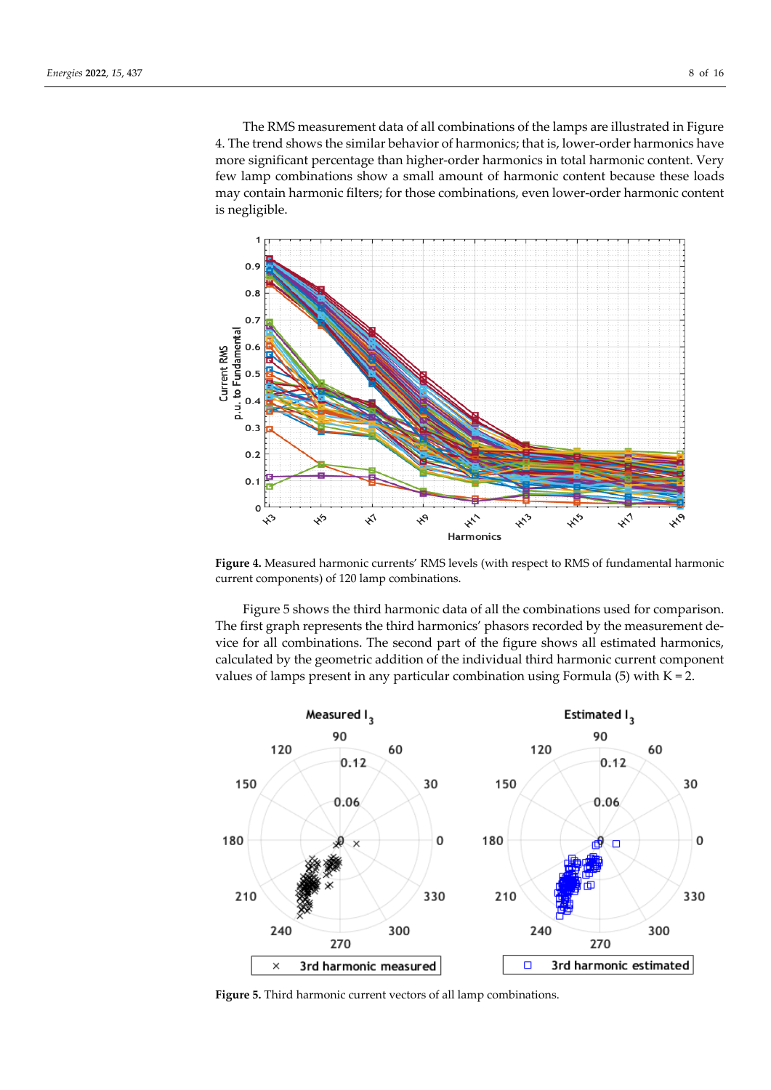The RMS measurement data of all combinations of the lamps are illustrated in Figure 4. The trend shows the similar behavior of harmonics; that is, lower-order harmonics have more significant percentage than higher-order harmonics in total harmonic content. Very few lamp combinations show a small amount of harmonic content because these loads may contain harmonic filters; for those combinations, even lower-order harmonic content is negligible.



**Figure 4.** Measured harmonic currents' RMS levels (with respect to RMS of fundamental harmonic current components) of 120 lamp combinations.

Figure 5 shows the third harmonic data of all the combinations used for comparison. The first graph represents the third harmonics' phasors recorded by the measurement device for all combinations. The second part of the figure shows all estimated harmonics, calculated by the geometric addition of the individual third harmonic current component values of lamps present in any particular combination using Formula  $(5)$  with  $K = 2$ .



**Figure 5.** Third harmonic current vectors of all lamp combinations.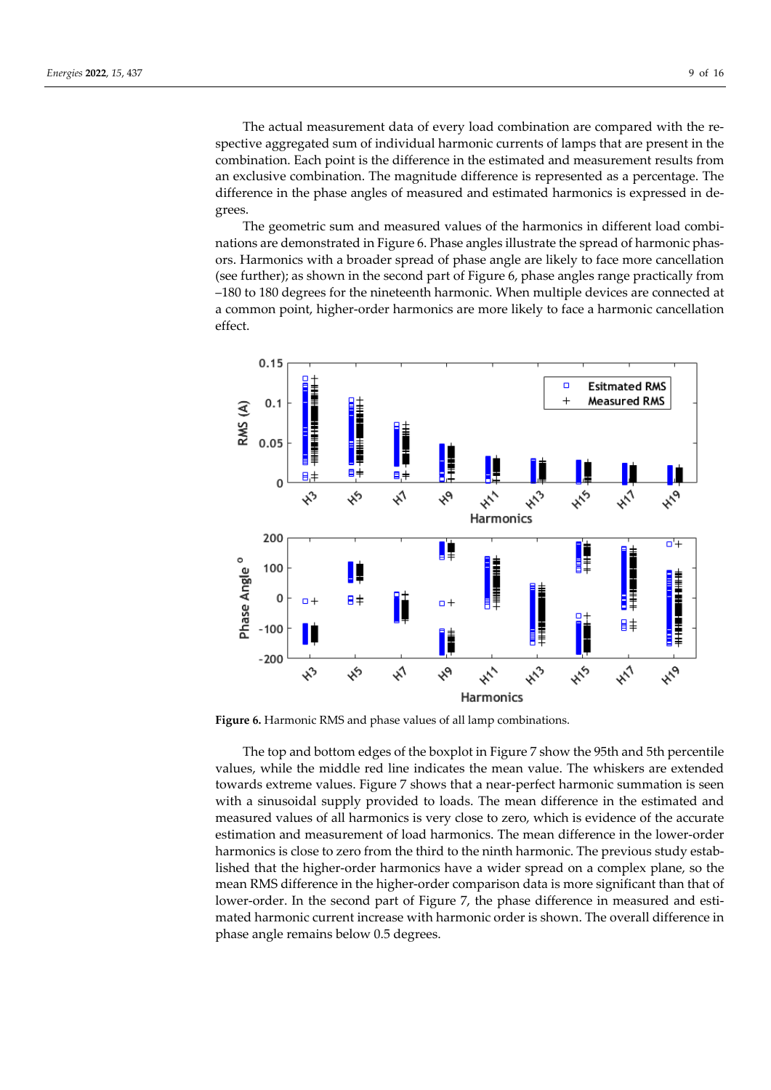The actual measurement data of every load combination are compared with the respective aggregated sum of individual harmonic currents of lamps that are present in the combination. Each point is the difference in the estimated and measurement results from an exclusive combination. The magnitude difference is represented as a percentage. The difference in the phase angles of measured and estimated harmonics is expressed in degrees.

The geometric sum and measured values of the harmonics in different load combinations are demonstrated in Figure 6. Phase angles illustrate the spread of harmonic phasors. Harmonics with a broader spread of phase angle are likely to face more cancellation (see further); as shown in the second part of Figure 6, phase angles range practically from –180 to 180 degrees for the nineteenth harmonic. When multiple devices are connected at a common point, higher-order harmonics are more likely to face a harmonic cancellation effect.



**Figure 6.** Harmonic RMS and phase values of all lamp combinations.

The top and bottom edges of the boxplot in Figure 7 show the 95th and 5th percentile values, while the middle red line indicates the mean value. The whiskers are extended towards extreme values. Figure 7 shows that a near-perfect harmonic summation is seen with a sinusoidal supply provided to loads. The mean difference in the estimated and measured values of all harmonics is very close to zero, which is evidence of the accurate estimation and measurement of load harmonics. The mean difference in the lower-order harmonics is close to zero from the third to the ninth harmonic. The previous study established that the higher-order harmonics have a wider spread on a complex plane, so the mean RMS difference in the higher-order comparison data is more significant than that of lower-order. In the second part of Figure 7, the phase difference in measured and estimated harmonic current increase with harmonic order is shown. The overall difference in phase angle remains below 0.5 degrees.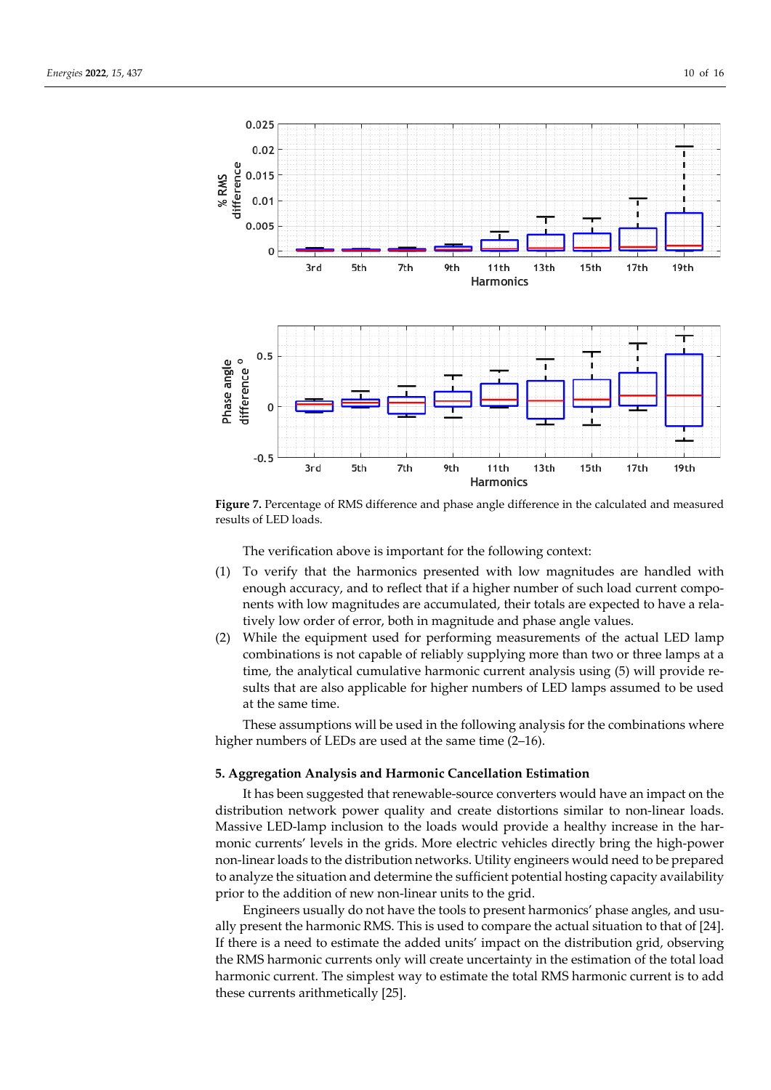

**Figure 7.** Percentage of RMS difference and phase angle difference in the calculated and measured results of LED loads.

The verification above is important for the following context:

- (1) To verify that the harmonics presented with low magnitudes are handled with enough accuracy, and to reflect that if a higher number of such load current components with low magnitudes are accumulated, their totals are expected to have a relatively low order of error, both in magnitude and phase angle values.
- (2) While the equipment used for performing measurements of the actual LED lamp combinations is not capable of reliably supplying more than two or three lamps at a time, the analytical cumulative harmonic current analysis using (5) will provide results that are also applicable for higher numbers of LED lamps assumed to be used at the same time.

These assumptions will be used in the following analysis for the combinations where higher numbers of LEDs are used at the same time (2-16).

#### **5. Aggregation Analysis and Harmonic Cancellation Estimation**

It has been suggested that renewable-source converters would have an impact on the distribution network power quality and create distortions similar to non-linear loads. Massive LED-lamp inclusion to the loads would provide a healthy increase in the harmonic currents' levels in the grids. More electric vehicles directly bring the high-power non-linear loads to the distribution networks. Utility engineers would need to be prepared to analyze the situation and determine the sufficient potential hosting capacity availability prior to the addition of new non-linear units to the grid.

Engineers usually do not have the tools to present harmonics' phase angles, and usually present the harmonic RMS. This is used to compare the actual situation to that of [24]. If there is a need to estimate the added units' impact on the distribution grid, observing the RMS harmonic currents only will create uncertainty in the estimation of the total load harmonic current. The simplest way to estimate the total RMS harmonic current is to add these currents arithmetically [25].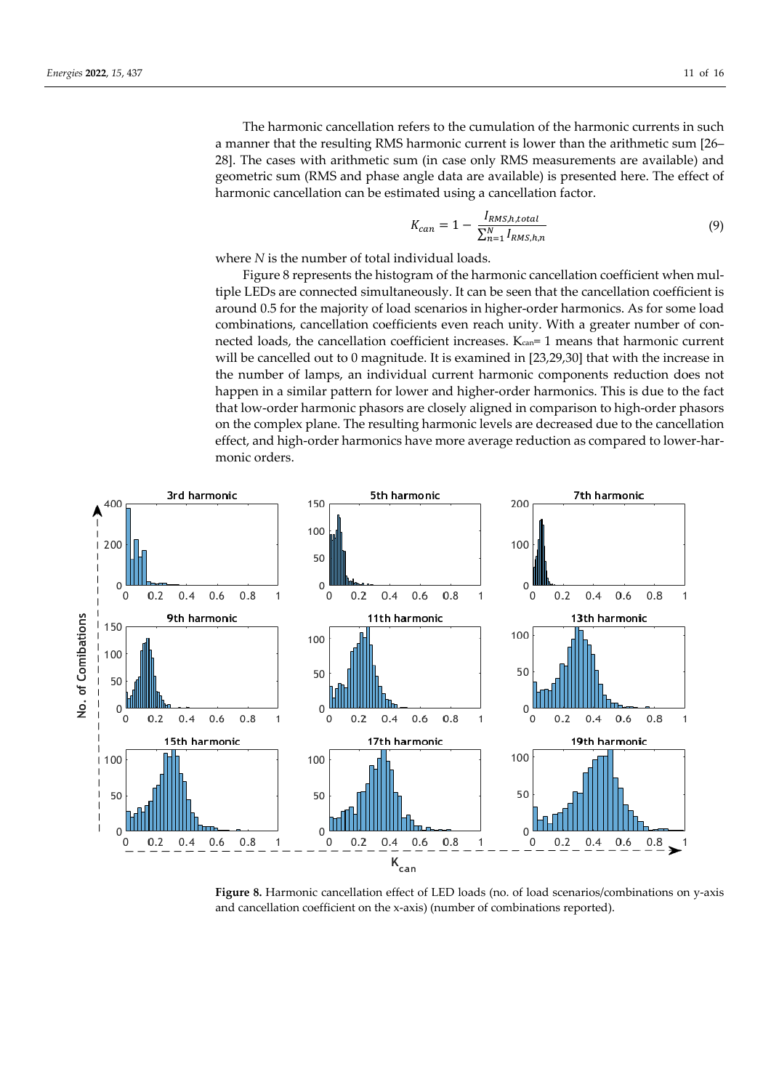The harmonic cancellation refers to the cumulation of the harmonic currents in such a manner that the resulting RMS harmonic current is lower than the arithmetic sum [26– 28]. The cases with arithmetic sum (in case only RMS measurements are available) and geometric sum (RMS and phase angle data are available) is presented here. The effect of harmonic cancellation can be estimated using a cancellation factor.

$$
K_{can} = 1 - \frac{I_{RMS,h,total}}{\sum_{n=1}^{N} I_{RMS,h,n}}
$$
(9)

where *N* is the number of total individual loads.

Figure 8 represents the histogram of the harmonic cancellation coefficient when multiple LEDs are connected simultaneously. It can be seen that the cancellation coefficient is around 0.5 for the majority of load scenarios in higher-order harmonics. As for some load combinations, cancellation coefficients even reach unity. With a greater number of connected loads, the cancellation coefficient increases.  $K_{\text{can}}=1$  means that harmonic current will be cancelled out to 0 magnitude. It is examined in [23,29,30] that with the increase in the number of lamps, an individual current harmonic components reduction does not happen in a similar pattern for lower and higher-order harmonics. This is due to the fact that low-order harmonic phasors are closely aligned in comparison to high-order phasors on the complex plane. The resulting harmonic levels are decreased due to the cancellation effect, and high-order harmonics have more average reduction as compared to lower-harmonic orders.



**Figure 8.** Harmonic cancellation effect of LED loads (no. of load scenarios/combinations on y-axis and cancellation coefficient on the x-axis) (number of combinations reported).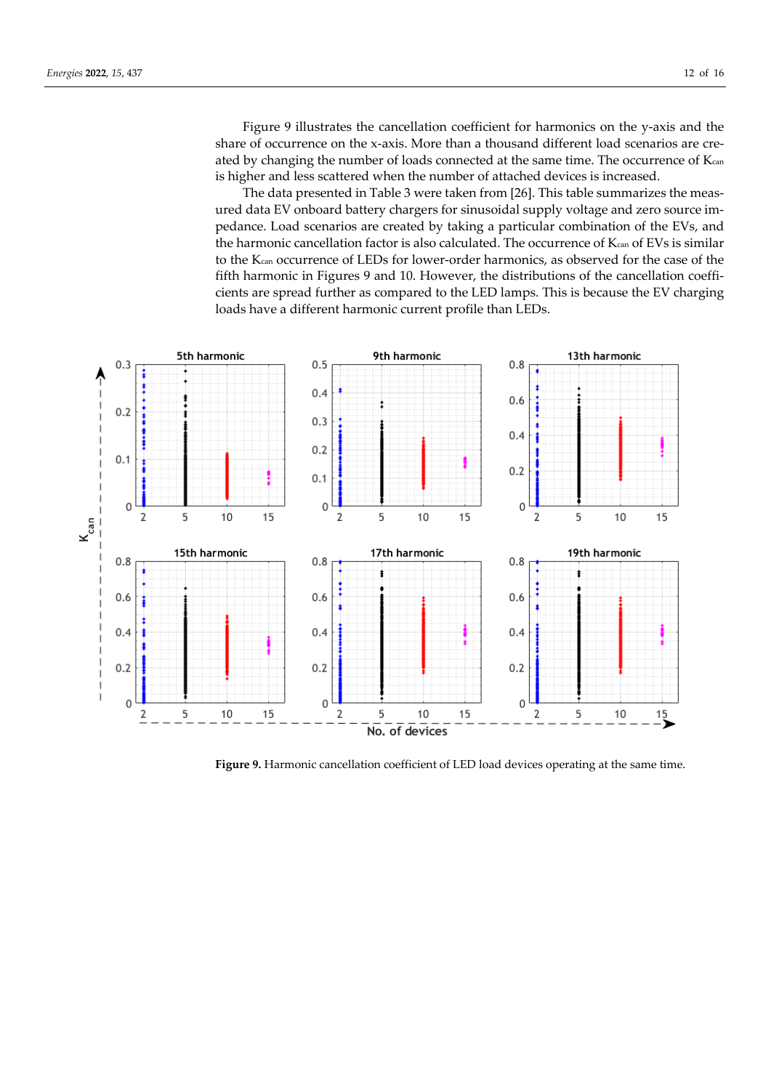Figure 9 illustrates the cancellation coefficient for harmonics on the y-axis and the share of occurrence on the x-axis. More than a thousand different load scenarios are created by changing the number of loads connected at the same time. The occurrence of Kcan is higher and less scattered when the number of attached devices is increased.

The data presented in Table 3 were taken from [26]. This table summarizes the measured data EV onboard battery chargers for sinusoidal supply voltage and zero source impedance. Load scenarios are created by taking a particular combination of the EVs, and the harmonic cancellation factor is also calculated. The occurrence of Kcan of EVs is similar to the Kcan occurrence of LEDs for lower-order harmonics, as observed for the case of the fifth harmonic in Figures 9 and 10. However, the distributions of the cancellation coefficients are spread further as compared to the LED lamps. This is because the EV charging loads have a different harmonic current profile than LEDs.



Figure 9. Harmonic cancellation coefficient of LED load devices operating at the same time.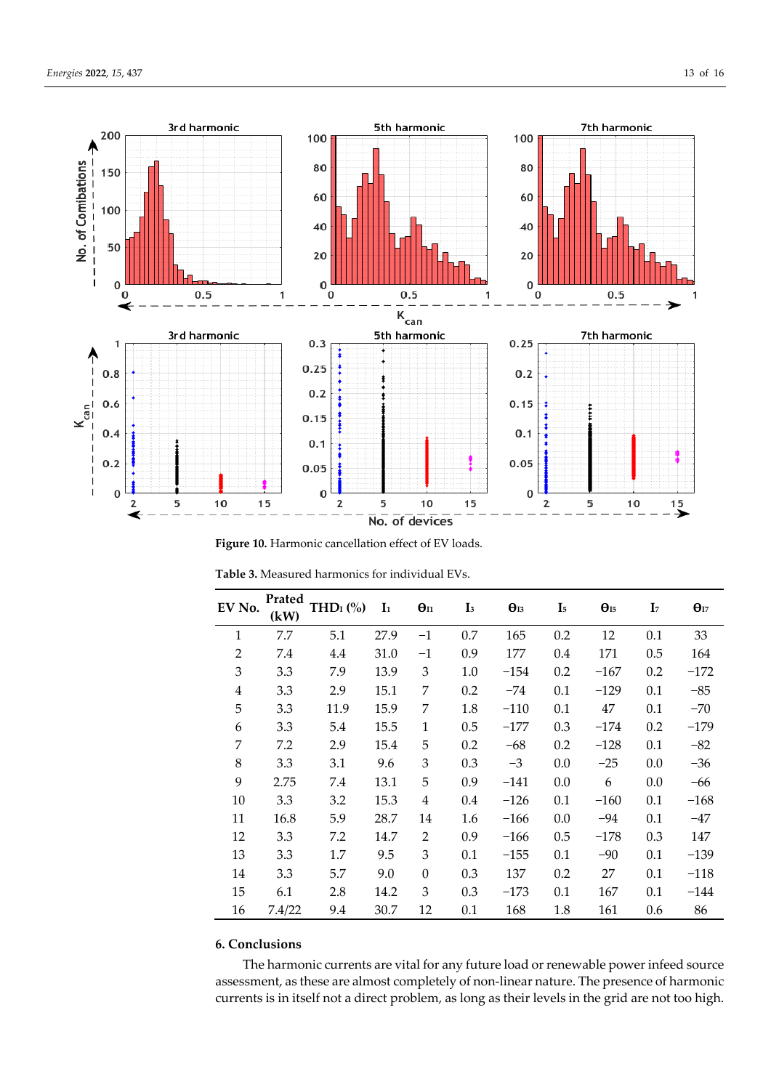

Figure 10. Harmonic cancellation effect of EV loads.

| EV No.         | Prated<br>(kW) | THD <sub>I</sub> $(\%$ | I <sub>1</sub> | $\Theta$ <sub>I1</sub> | $\mathbf{I}$ <sub>3</sub> | $\theta_{13}$ | I <sub>5</sub> | $\Theta_{15}$ | I <sub>7</sub> | $\Theta$ <sub>I7</sub> |
|----------------|----------------|------------------------|----------------|------------------------|---------------------------|---------------|----------------|---------------|----------------|------------------------|
| $\mathbf{1}$   | 7.7            | 5.1                    | 27.9           | $-1$                   | 0.7                       | 165           | 0.2            | 12            | 0.1            | 33                     |
| $\overline{2}$ | 7.4            | 4.4                    | 31.0           | $-1$                   | 0.9                       | 177           | 0.4            | 171           | 0.5            | 164                    |
| 3              | 3.3            | 7.9                    | 13.9           | 3                      | 1.0                       | $-154$        | 0.2            | $-167$        | 0.2            | $-172$                 |
| 4              | 3.3            | 2.9                    | 15.1           | 7                      | 0.2                       | $-74$         | 0.1            | $-129$        | 0.1            | $-85$                  |
| 5              | 3.3            | 11.9                   | 15.9           | 7                      | 1.8                       | $-110$        | 0.1            | 47            | 0.1            | $-70$                  |
| 6              | 3.3            | 5.4                    | 15.5           | 1                      | 0.5                       | $-177$        | 0.3            | $-174$        | 0.2            | $-179$                 |
| 7              | 7.2            | 2.9                    | 15.4           | 5                      | 0.2                       | $-68$         | 0.2            | $-128$        | 0.1            | $-82$                  |
| 8              | 3.3            | 3.1                    | 9.6            | 3                      | 0.3                       | $-3$          | 0.0            | $-25$         | 0.0            | $-36$                  |
| 9              | 2.75           | 7.4                    | 13.1           | 5                      | 0.9                       | $-141$        | 0.0            | 6             | 0.0            | -66                    |
| 10             | 3.3            | 3.2                    | 15.3           | 4                      | 0.4                       | $-126$        | 0.1            | $-160$        | 0.1            | $-168$                 |
| 11             | 16.8           | 5.9                    | 28.7           | 14                     | 1.6                       | $-166$        | 0.0            | $-94$         | 0.1            | $-47$                  |
| 12             | 3.3            | 7.2                    | 14.7           | $\overline{2}$         | 0.9                       | $-166$        | 0.5            | $-178$        | 0.3            | 147                    |
| 13             | 3.3            | 1.7                    | 9.5            | 3                      | 0.1                       | $-155$        | 0.1            | $-90$         | 0.1            | $-139$                 |
| 14             | 3.3            | 5.7                    | 9.0            | $\boldsymbol{0}$       | 0.3                       | 137           | 0.2            | 27            | 0.1            | $-118$                 |
| 15             | 6.1            | 2.8                    | 14.2           | 3                      | 0.3                       | $-173$        | 0.1            | 167           | 0.1            | $-144$                 |
| 16             | 7.4/22         | 9.4                    | 30.7           | 12                     | 0.1                       | 168           | 1.8            | 161           | 0.6            | 86                     |

**Table 3.** Measured harmonics for individual EVs.

# **6. Conclusions**

The harmonic currents are vital for any future load or renewable power infeed source assessment, as these are almost completely of non-linear nature. The presence of harmonic currents is in itself not a direct problem, as long as their levels in the grid are not too high.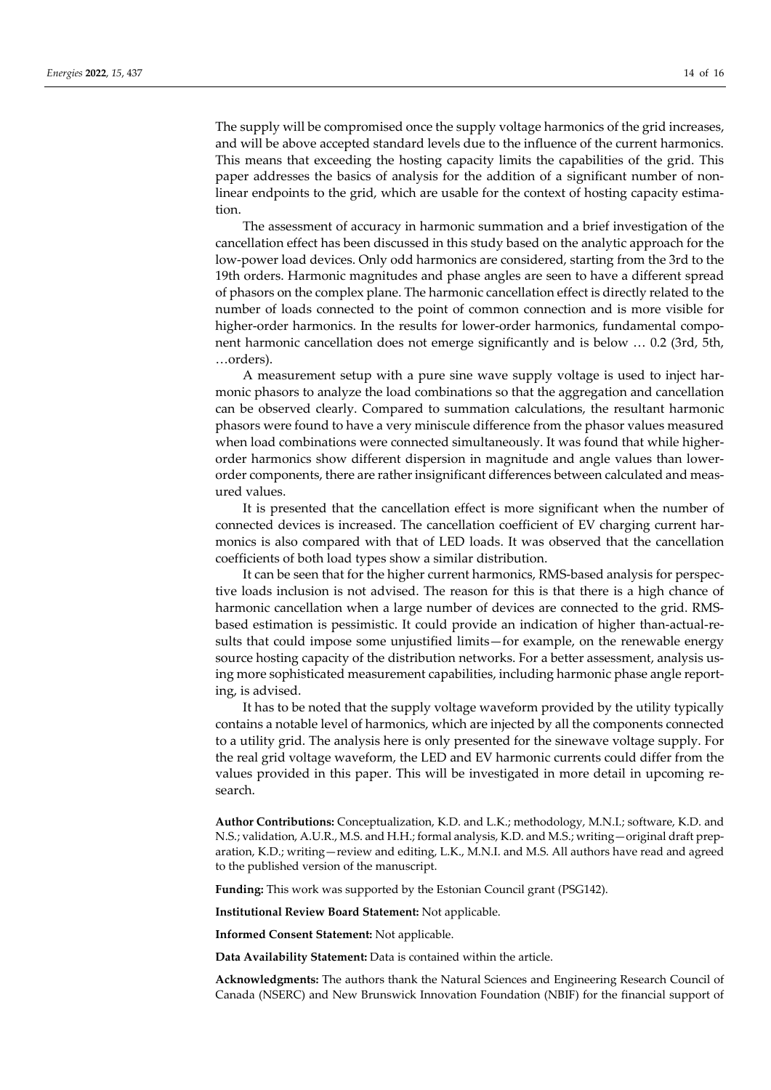The supply will be compromised once the supply voltage harmonics of the grid increases, and will be above accepted standard levels due to the influence of the current harmonics. This means that exceeding the hosting capacity limits the capabilities of the grid. This paper addresses the basics of analysis for the addition of a significant number of nonlinear endpoints to the grid, which are usable for the context of hosting capacity estimation.

The assessment of accuracy in harmonic summation and a brief investigation of the cancellation effect has been discussed in this study based on the analytic approach for the low-power load devices. Only odd harmonics are considered, starting from the 3rd to the 19th orders. Harmonic magnitudes and phase angles are seen to have a different spread of phasors on the complex plane. The harmonic cancellation effect is directly related to the number of loads connected to the point of common connection and is more visible for higher-order harmonics. In the results for lower-order harmonics, fundamental component harmonic cancellation does not emerge significantly and is below … 0.2 (3rd, 5th, …orders).

A measurement setup with a pure sine wave supply voltage is used to inject harmonic phasors to analyze the load combinations so that the aggregation and cancellation can be observed clearly. Compared to summation calculations, the resultant harmonic phasors were found to have a very miniscule difference from the phasor values measured when load combinations were connected simultaneously. It was found that while higherorder harmonics show different dispersion in magnitude and angle values than lowerorder components, there are rather insignificant differences between calculated and measured values.

It is presented that the cancellation effect is more significant when the number of connected devices is increased. The cancellation coefficient of EV charging current harmonics is also compared with that of LED loads. It was observed that the cancellation coefficients of both load types show a similar distribution.

It can be seen that for the higher current harmonics, RMS-based analysis for perspective loads inclusion is not advised. The reason for this is that there is a high chance of harmonic cancellation when a large number of devices are connected to the grid. RMSbased estimation is pessimistic. It could provide an indication of higher than-actual-results that could impose some unjustified limits—for example, on the renewable energy source hosting capacity of the distribution networks. For a better assessment, analysis using more sophisticated measurement capabilities, including harmonic phase angle reporting, is advised.

It has to be noted that the supply voltage waveform provided by the utility typically contains a notable level of harmonics, which are injected by all the components connected to a utility grid. The analysis here is only presented for the sinewave voltage supply. For the real grid voltage waveform, the LED and EV harmonic currents could differ from the values provided in this paper. This will be investigated in more detail in upcoming research.

**Author Contributions:** Conceptualization, K.D. and L.K.; methodology, M.N.I.; software, K.D. and N.S.; validation, A.U.R., M.S. and H.H.; formal analysis, K.D. and M.S.; writing—original draft preparation, K.D.; writing—review and editing, L.K., M.N.I. and M.S. All authors have read and agreed to the published version of the manuscript.

**Funding:** This work was supported by the Estonian Council grant (PSG142).

**Institutional Review Board Statement:** Not applicable.

**Informed Consent Statement:** Not applicable.

**Data Availability Statement:** Data is contained within the article.

**Acknowledgments:** The authors thank the Natural Sciences and Engineering Research Council of Canada (NSERC) and New Brunswick Innovation Foundation (NBIF) for the financial support of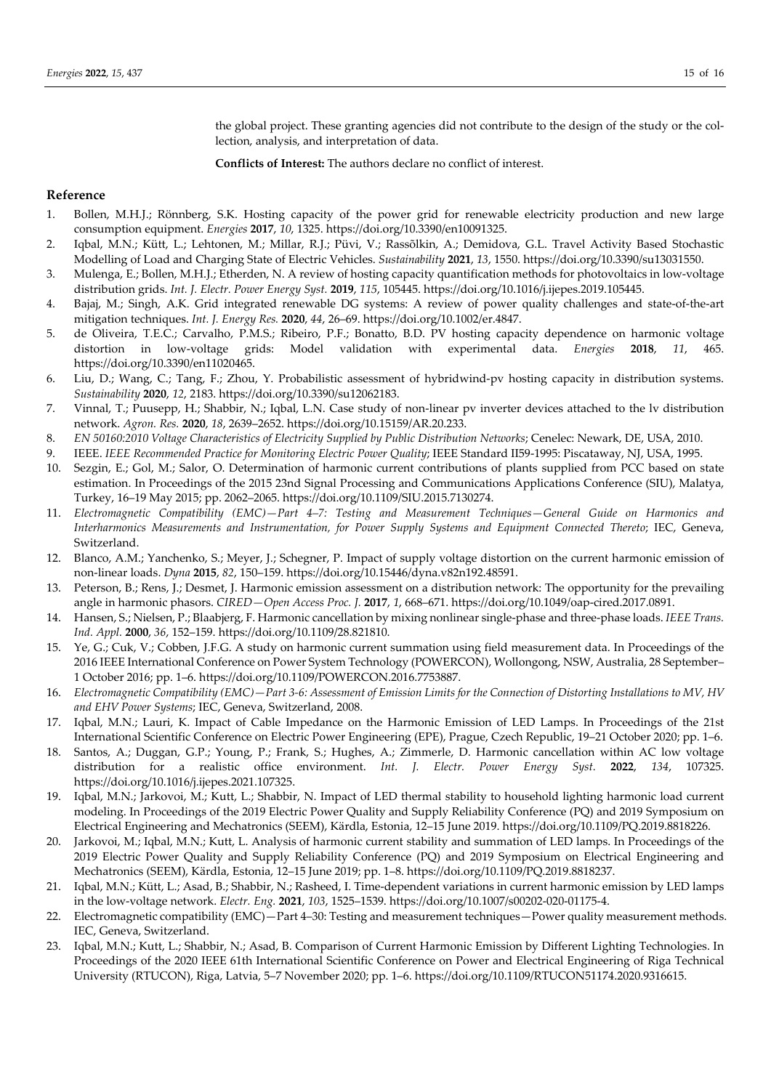the global project. These granting agencies did not contribute to the design of the study or the collection, analysis, and interpretation of data.

**Conflicts of Interest:** The authors declare no conflict of interest.

#### **Reference**

- 1. Bollen, M.H.J.; Rönnberg, S.K. Hosting capacity of the power grid for renewable electricity production and new large consumption equipment. *Energies* **2017**, *10*, 1325. https://doi.org/10.3390/en10091325.
- 2. Iqbal, M.N.; Kütt, L.; Lehtonen, M.; Millar, R.J.; Püvi, V.; Rassõlkin, A.; Demidova, G.L. Travel Activity Based Stochastic Modelling of Load and Charging State of Electric Vehicles. *Sustainability* **2021**, *13*, 1550. https://doi.org/10.3390/su13031550.
- 3. Mulenga, E.; Bollen, M.H.J.; Etherden, N. A review of hosting capacity quantification methods for photovoltaics in low-voltage distribution grids. *Int. J. Electr. Power Energy Syst.* **2019**, *115*, 105445. https://doi.org/10.1016/j.ijepes.2019.105445.
- 4. Bajaj, M.; Singh, A.K. Grid integrated renewable DG systems: A review of power quality challenges and state-of-the-art mitigation techniques. *Int. J. Energy Res.* **2020**, *44*, 26–69. https://doi.org/10.1002/er.4847.
- 5. de Oliveira, T.E.C.; Carvalho, P.M.S.; Ribeiro, P.F.; Bonatto, B.D. PV hosting capacity dependence on harmonic voltage distortion in low-voltage grids: Model validation with experimental data. *Energies* **2018**, *11*, 465. https://doi.org/10.3390/en11020465.
- 6. Liu, D.; Wang, C.; Tang, F.; Zhou, Y. Probabilistic assessment of hybridwind-pv hosting capacity in distribution systems. *Sustainability* **2020**, *12*, 2183. https://doi.org/10.3390/su12062183.
- 7. Vinnal, T.; Puusepp, H.; Shabbir, N.; Iqbal, L.N. Case study of non-linear pv inverter devices attached to the lv distribution network. *Agron. Res.* **2020**, *18*, 2639–2652. https://doi.org/10.15159/AR.20.233.
- 8. *EN 50160:2010 Voltage Characteristics of Electricity Supplied by Public Distribution Networks*; Cenelec: Newark, DE, USA, 2010.
- 9. IEEE. *IEEE Recommended Practice for Monitoring Electric Power Quality*; IEEE Standard II59-1995: Piscataway, NJ, USA, 1995.
- 10. Sezgin, E.; Gol, M.; Salor, O. Determination of harmonic current contributions of plants supplied from PCC based on state estimation. In Proceedings of the 2015 23nd Signal Processing and Communications Applications Conference (SIU), Malatya, Turkey, 16–19 May 2015; pp. 2062–2065. https://doi.org/10.1109/SIU.2015.7130274.
- 11. *Electromagnetic Compatibility (EMC)—Part 4–7: Testing and Measurement Techniques—General Guide on Harmonics and Interharmonics Measurements and Instrumentation, for Power Supply Systems and Equipment Connected Thereto*; IEC, Geneva, Switzerland.
- 12. Blanco, A.M.; Yanchenko, S.; Meyer, J.; Schegner, P. Impact of supply voltage distortion on the current harmonic emission of non-linear loads. *Dyna* **2015**, *82*, 150–159. https://doi.org/10.15446/dyna.v82n192.48591.
- 13. Peterson, B.; Rens, J.; Desmet, J. Harmonic emission assessment on a distribution network: The opportunity for the prevailing angle in harmonic phasors. *CIRED—Open Access Proc. J.* **2017**, *1*, 668–671. https://doi.org/10.1049/oap-cired.2017.0891.
- 14. Hansen, S.; Nielsen, P.; Blaabjerg, F. Harmonic cancellation by mixing nonlinear single-phase and three-phase loads. *IEEE Trans. Ind. Appl.* **2000**, *36*, 152–159. https://doi.org/10.1109/28.821810.
- 15. Ye, G.; Cuk, V.; Cobben, J.F.G. A study on harmonic current summation using field measurement data. In Proceedings of the 2016 IEEE International Conference on Power System Technology (POWERCON), Wollongong, NSW, Australia, 28 September– 1 October 2016; pp. 1–6. https://doi.org/10.1109/POWERCON.2016.7753887.
- 16. *Electromagnetic Compatibility (EMC)—Part 3-6: Assessment of Emission Limits for the Connection of Distorting Installations to MV, HV and EHV Power Systems*; IEC, Geneva, Switzerland, 2008.
- 17. Iqbal, M.N.; Lauri, K. Impact of Cable Impedance on the Harmonic Emission of LED Lamps. In Proceedings of the 21st International Scientific Conference on Electric Power Engineering (EPE), Prague, Czech Republic, 19–21 October 2020; pp. 1–6.
- 18. Santos, A.; Duggan, G.P.; Young, P.; Frank, S.; Hughes, A.; Zimmerle, D. Harmonic cancellation within AC low voltage distribution for a realistic office environment. *Int. J. Electr. Power Energy Syst.* **2022**, *134*, 107325. https://doi.org/10.1016/j.ijepes.2021.107325.
- 19. Iqbal, M.N.; Jarkovoi, M.; Kutt, L.; Shabbir, N. Impact of LED thermal stability to household lighting harmonic load current modeling. In Proceedings of the 2019 Electric Power Quality and Supply Reliability Conference (PQ) and 2019 Symposium on Electrical Engineering and Mechatronics (SEEM), Kärdla, Estonia, 12–15 June 2019. https://doi.org/10.1109/PQ.2019.8818226.
- 20. Jarkovoi, M.; Iqbal, M.N.; Kutt, L. Analysis of harmonic current stability and summation of LED lamps. In Proceedings of the 2019 Electric Power Quality and Supply Reliability Conference (PQ) and 2019 Symposium on Electrical Engineering and Mechatronics (SEEM), Kärdla, Estonia, 12–15 June 2019; pp. 1–8. https://doi.org/10.1109/PQ.2019.8818237.
- 21. Iqbal, M.N.; Kütt, L.; Asad, B.; Shabbir, N.; Rasheed, I. Time-dependent variations in current harmonic emission by LED lamps in the low-voltage network. *Electr. Eng.* **2021**, *103*, 1525–1539. https://doi.org/10.1007/s00202-020-01175-4.
- 22. Electromagnetic compatibility (EMC)—Part 4–30: Testing and measurement techniques—Power quality measurement methods. IEC, Geneva, Switzerland.
- 23. Iqbal, M.N.; Kutt, L.; Shabbir, N.; Asad, B. Comparison of Current Harmonic Emission by Different Lighting Technologies. In Proceedings of the 2020 IEEE 61th International Scientific Conference on Power and Electrical Engineering of Riga Technical University (RTUCON), Riga, Latvia, 5–7 November 2020; pp. 1–6. https://doi.org/10.1109/RTUCON51174.2020.9316615.